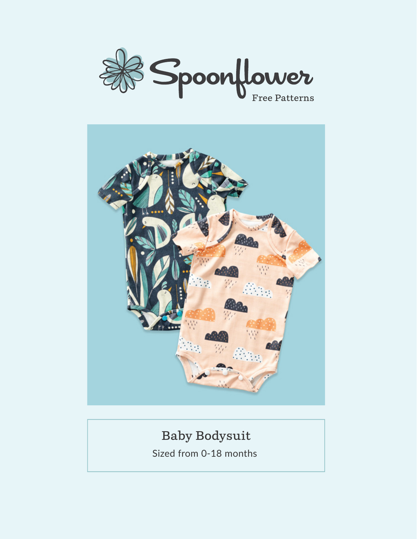



## **Baby Bodysuit**

Sized from 0-18 months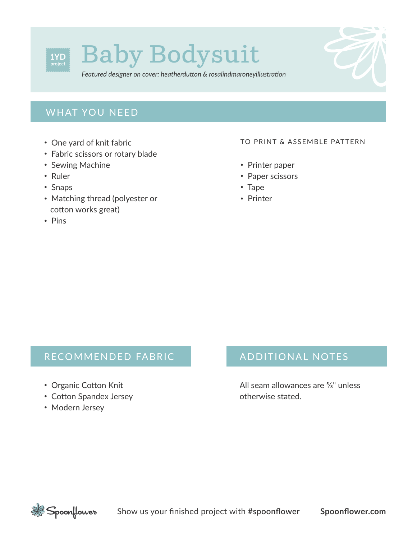

*Featured designer on cover: heatherdutton & rosalindmaroneyillustration*

### **WHAT YOU NEED**

- One yard of knit fabric
- Fabric scissors or rotary blade
- Sewing Machine
- Ruler
- Snaps
- Matching thread (polyester or cotton works great)
- Pins

#### TO PRINT & ASSEMBLE PATTERN

- Printer paper
- Paper scissors
- Tape
- Printer

#### RECOMMENDED FABRIC

- Organic Cotton Knit
- Cotton Spandex Jersey
- Modern Jersey

#### ADDITIONAL NOTES

All seam allowances are <sup>5</sup>/<sub>8</sub>" unless otherwise stated.

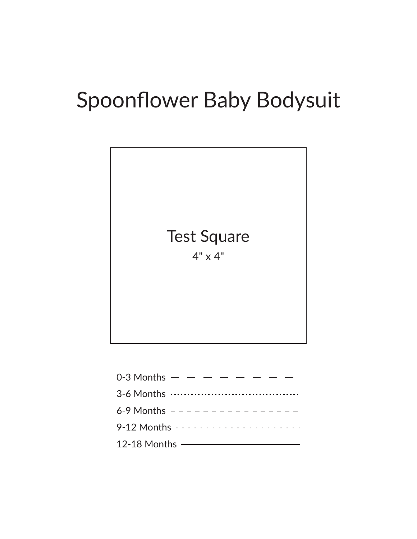# Spoonflower Baby Bodysuit



| 0-3 Months $   -$                        |  |
|------------------------------------------|--|
|                                          |  |
| 6-9 Months $- - - - - - - - - - - - - -$ |  |
|                                          |  |
| $12-18$ Months $\overline{\phantom{1}}$  |  |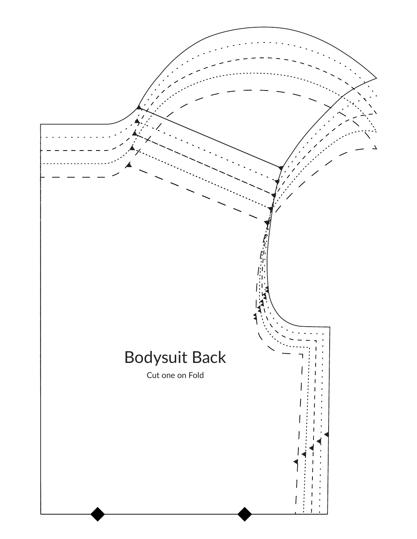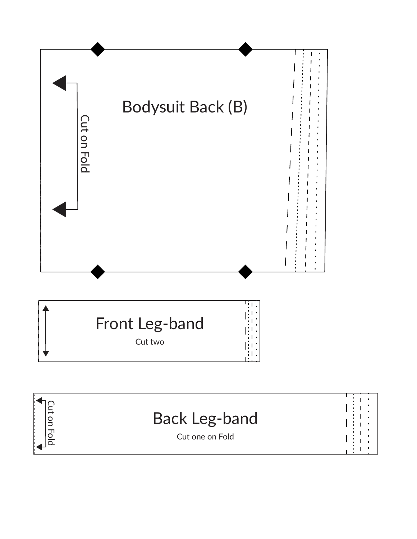

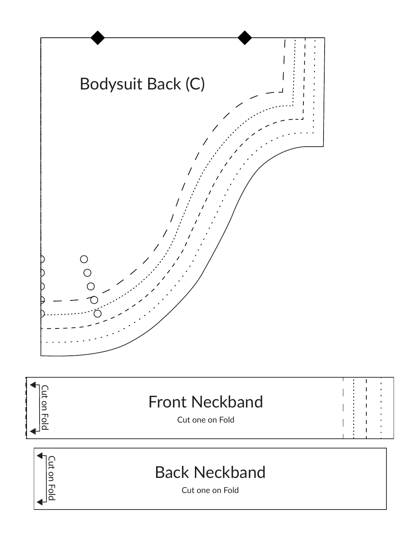





Cut one on Fold

Fold<br>Dig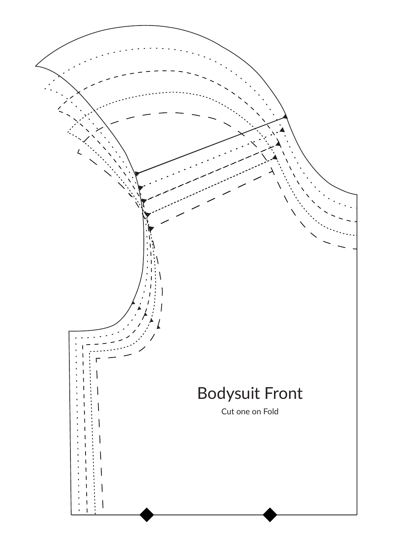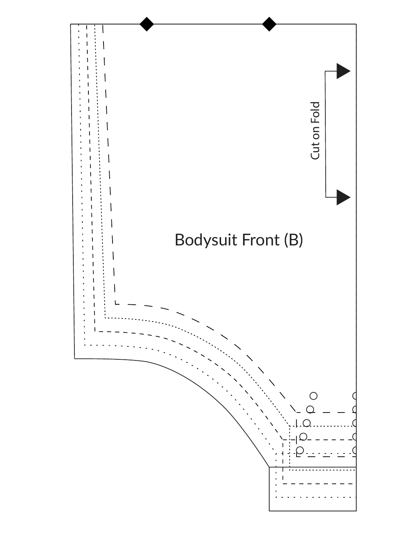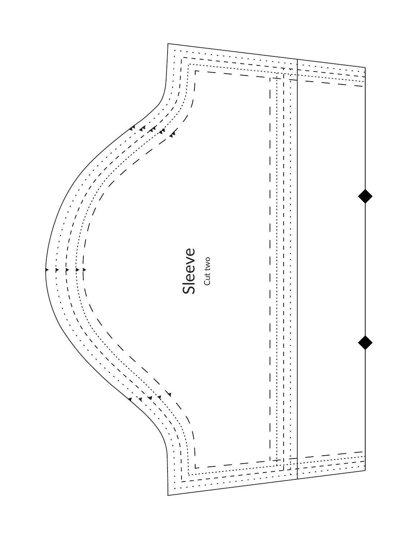